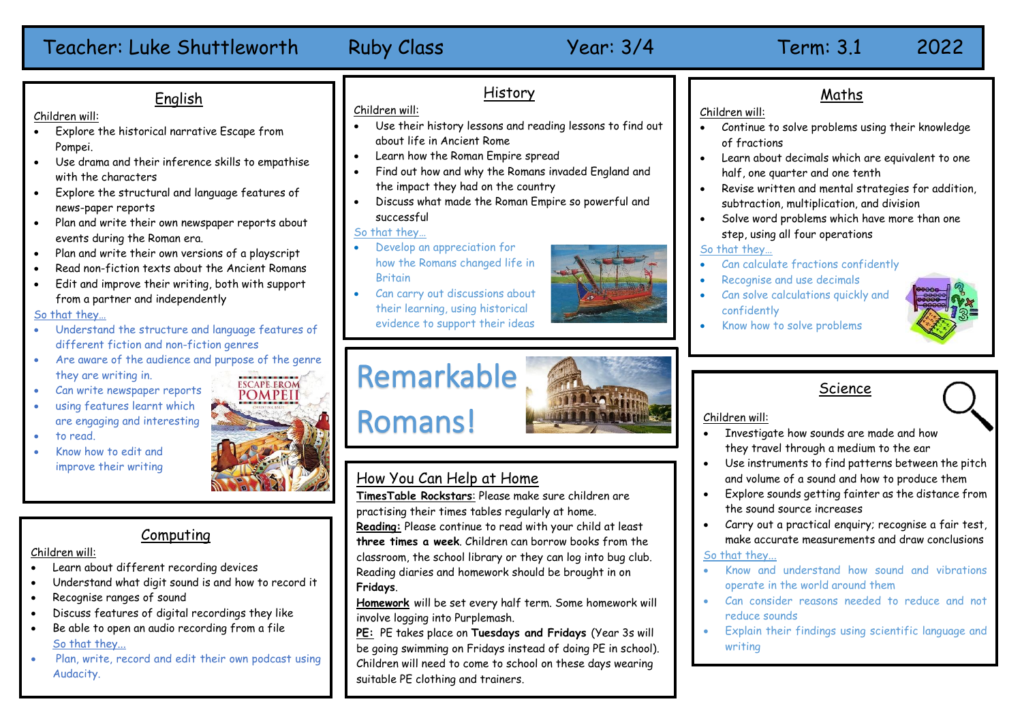| English<br>Children will:<br>Explore the historical narrative Escape from<br>$\bullet$<br>Pompei.<br>Use drama and their inference skills to empathise<br>with the characters<br>Explore the structural and language features of<br>news-paper reports<br>Plan and write their own newspaper reports about<br>events during the Roman era.<br>Plan and write their own versions of a playscript<br>Read non-fiction texts about the Ancient Romans<br>Edit and improve their writing, both with support<br>from a partner and independently<br>So that they<br>Understand the structure and language features of | History<br>Children will:<br>Use their history lessons and reading lessons to find out<br>about life in Ancient Rome<br>Learn how the Roman Empire spread<br>Find out how and why the Romans invaded England and<br>the impact they had on the country<br>Discuss what made the Roman Empire so powerful and<br>successful<br>So that they<br>Develop an appreciation for<br>how the Romans changed life in<br><b>Britain</b><br>Can carry out discussions about<br>their learning, using historical<br>evidence to support their ideas | Maths<br>Children will:<br>Continue to solve problems using their k<br>of fractions<br>Learn about decimals which are equivale<br>$\bullet$<br>half, one quarter and one tenth<br>Revise written and mental strategies fo<br>$\bullet$<br>subtraction, multiplication, and division<br>Solve word problems which have more t<br>step, using all four operations<br>So that they<br>Can calculate fractions confidently<br>Recognise and use decimals<br>Can solve calculations quickly and<br>$\bullet$<br>confidently<br>Know how to solve problems |
|------------------------------------------------------------------------------------------------------------------------------------------------------------------------------------------------------------------------------------------------------------------------------------------------------------------------------------------------------------------------------------------------------------------------------------------------------------------------------------------------------------------------------------------------------------------------------------------------------------------|-----------------------------------------------------------------------------------------------------------------------------------------------------------------------------------------------------------------------------------------------------------------------------------------------------------------------------------------------------------------------------------------------------------------------------------------------------------------------------------------------------------------------------------------|------------------------------------------------------------------------------------------------------------------------------------------------------------------------------------------------------------------------------------------------------------------------------------------------------------------------------------------------------------------------------------------------------------------------------------------------------------------------------------------------------------------------------------------------------|
| different fiction and non-fiction genres<br>Are aware of the audience and purpose of the genre<br>they are writing in.<br><b>ESCAPE FROM</b><br>Can write newspaper reports<br><b>POMPEII</b><br>using features learnt which<br>are engaging and interesting<br>to read.<br>Know how to edit and<br>improve their writing                                                                                                                                                                                                                                                                                        | Remarkable<br><b>Romans!</b><br>How You Can Help at Home<br>TimesTable Rockstars: Please make sure children are                                                                                                                                                                                                                                                                                                                                                                                                                         | Science<br>Children will:<br>Investigate how sounds are made and h<br>$\bullet$<br>they travel through a medium to the ed<br>Use instruments to find patterns betwe<br>$\bullet$<br>and volume of a sound and how to produ<br>Explore sounds getting fainter as the d<br>$\bullet$<br>the sound source increases                                                                                                                                                                                                                                     |
| Computing<br>Children will:<br>Learn about different recording devices<br>Understand what digit sound is and how to record it<br>Recognise ranges of sound<br>Discuss features of digital recordings they like                                                                                                                                                                                                                                                                                                                                                                                                   | practising their times tables regularly at home.<br>Reading: Please continue to read with your child at least<br>three times a week. Children can borrow books from the<br>classroom, the school library or they can log into bug club.<br>Reading diaries and homework should be brought in on<br>Fridays.<br>Homework will be set every half term. Some homework will<br>involve logging into Purplemash.                                                                                                                             | Carry out a practical enquiry; recognise<br>$\bullet$<br>make accurate measurements and draw<br>So that they<br>Know and understand how sound an<br>operate in the world around them<br>Can consider reasons needed to red<br>reduce sounds                                                                                                                                                                                                                                                                                                          |

**PE:** PE takes place on **Tuesdays and Fridays** (Year 3s will be going swimming on Fridays instead of doing PE in school). Children will need to come to school on these days wearing suitable PE clothing and trainers.

- Continue to solve problems using their knowledge
- ent to one
- er addition
- han one <sup>.</sup>

- Investigate how sounds are made and how they travel through a medium to the ear
- een the pitch uce them
- listance from
- e a fair test conclusions
- d vibrations
- uce and not reduce sounds
- Explain their findings using scientific language and writing



# Computing

## Children will:

- Learn about different recording devices
- Understand what digit sound is and how to record it
- Recognise ranges of sound
- Discuss features of digital recordings they like
- Be able to open an audio recording from a file So that they...
- Plan, write, record and edit their own podcast using Audacity.